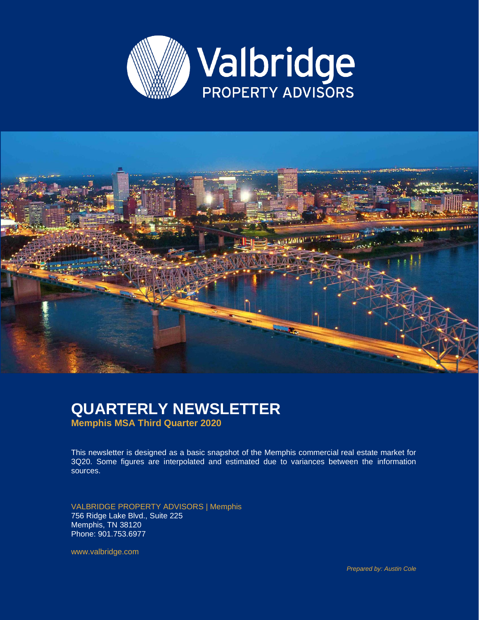



#### **QUARTERLY NEWSLETTER Memphis MSA Third Quarter 2020**

This newsletter is designed as a basic snapshot of the Memphis commercial real estate market for 3Q20. Some figures are interpolated and estimated due to variances between the information sources.

VALBRIDGE PROPERTY ADVISORS | Memphis 756 Ridge Lake Blvd., Suite 225 Memphis, TN 38120 Phone: 901.753.6977

www.valbridge.com

*Prepared by: Austin Cole*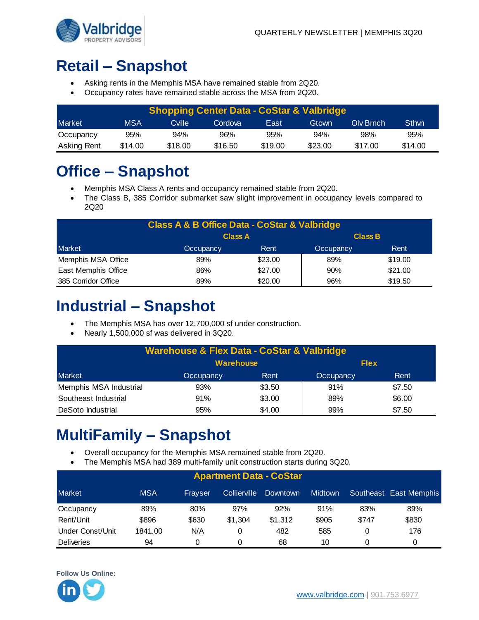

# **Retail – Snapshot**

- Asking rents in the Memphis MSA have remained stable from 2Q20.
- Occupancy rates have remained stable across the MSA from 2Q20.

| <b>Shopping Center Data - CoStar &amp; Valbridge</b> |         |         |         |         |         |           |         |  |  |
|------------------------------------------------------|---------|---------|---------|---------|---------|-----------|---------|--|--|
| <b>Market</b>                                        | MSA     | Cville  | Cordova | East    | Gtown   | Oly Brnch | Sthwn   |  |  |
| Occupancy                                            | 95%     | 94%     | 96%     | 95%     | 94%     | 98%       | 95%     |  |  |
| <b>Asking Rent</b>                                   | \$14.00 | \$18.00 | \$16.50 | \$19.00 | \$23.00 | \$17.00   | \$14.00 |  |  |

# **Office – Snapshot**

- Memphis MSA Class A rents and occupancy remained stable from 2Q20.
- The Class B, 385 Corridor submarket saw slight improvement in occupancy levels compared to 2Q20

| <b>Class A &amp; B Office Data - CoStar &amp; Valbridge</b> |                                        |         |     |         |  |  |  |  |  |
|-------------------------------------------------------------|----------------------------------------|---------|-----|---------|--|--|--|--|--|
|                                                             | <b>Class B</b><br><b>Class A</b>       |         |     |         |  |  |  |  |  |
| Market                                                      | Rent<br>Rent<br>Occupancy<br>Occupancy |         |     |         |  |  |  |  |  |
| Memphis MSA Office                                          | 89%                                    | \$23.00 | 89% | \$19.00 |  |  |  |  |  |
| East Memphis Office                                         | 86%                                    | \$27.00 | 90% | \$21.00 |  |  |  |  |  |
| 385 Corridor Office                                         | \$19.50<br>\$20.00<br>89%<br>96%       |         |     |         |  |  |  |  |  |

### **Industrial – Snapshot**

- The Memphis MSA has over 12,700,000 sf under construction.
- Nearly 1,500,000 sf was delivered in 3Q20.

| <b>Warehouse &amp; Flex Data - CoStar &amp; Valbridge</b> |           |        |           |        |  |  |  |
|-----------------------------------------------------------|-----------|--------|-----------|--------|--|--|--|
| <b>Warehouse</b><br><b>Flex</b>                           |           |        |           |        |  |  |  |
| <b>Market</b>                                             | Occupancy | Rent   | Occupancy | Rent   |  |  |  |
| Memphis MSA Industrial                                    | 93%       | \$3.50 | 91%       | \$7.50 |  |  |  |
| Southeast Industrial                                      | 91%       | \$3.00 | 89%       | \$6.00 |  |  |  |
| DeSoto Industrial                                         | 95%       | \$4.00 | 99%       | \$7.50 |  |  |  |

## **MultiFamily – Snapshot**

- Overall occupancy for the Memphis MSA remained stable from 2Q20.
- The Memphis MSA had 389 multi-family unit construction starts during 3Q20.

| <b>Apartment Data - CoStar</b> |            |         |              |          |                |       |                        |  |  |
|--------------------------------|------------|---------|--------------|----------|----------------|-------|------------------------|--|--|
| <b>Market</b>                  | <b>MSA</b> | Fravser | Collierville | Downtown | <b>Midtown</b> |       | Southeast East Memphis |  |  |
| Occupancy                      | 89%        | 80%     | 97%          | 92%      | 91%            | 83%   | 89%                    |  |  |
| Rent/Unit                      | \$896      | \$630   | \$1,304      | \$1.312  | \$905          | \$747 | \$830                  |  |  |
| Under Const/Unit               | 1841.00    | N/A     | 0            | 482      | 585            | 0     | 176                    |  |  |
| <b>Deliveries</b>              | 94         |         | 0            | 68       | 10             | 0     | 0                      |  |  |

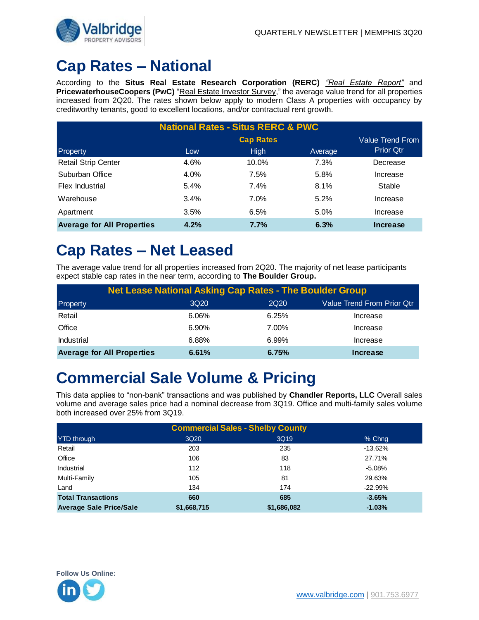

### **Cap Rates – National**

According to the **Situs Real Estate Research Corporation (RERC)** *"Real Estate Report"* and **PricewaterhouseCoopers (PwC)** "Real Estate Investor Survey," the average value trend for all properties increased from 2Q20. The rates shown below apply to modern Class A properties with occupancy by creditworthy tenants, good to excellent locations, and/or contractual rent growth.

| <b>National Rates - Situs RERC &amp; PWC</b> |      |                  |         |                  |  |  |  |  |
|----------------------------------------------|------|------------------|---------|------------------|--|--|--|--|
|                                              |      | <b>Cap Rates</b> |         |                  |  |  |  |  |
| Property                                     | Low  | <b>High</b>      | Average | <b>Prior Qtr</b> |  |  |  |  |
| <b>Retail Strip Center</b>                   | 4.6% | 10.0%            | 7.3%    | Decrease         |  |  |  |  |
| Suburban Office                              | 4.0% | 7.5%             | 5.8%    | Increase         |  |  |  |  |
| Flex Industrial                              | 5.4% | 7.4%             | 8.1%    | Stable           |  |  |  |  |
| Warehouse                                    | 3.4% | $7.0\%$          | 5.2%    | Increase         |  |  |  |  |
| Apartment                                    | 3.5% | 6.5%             | 5.0%    | Increase         |  |  |  |  |
| <b>Average for All Properties</b>            | 4.2% | 7.7%             | 6.3%    | Increase         |  |  |  |  |

### **Cap Rates – Net Leased**

The average value trend for all properties increased from 2Q20. The majority of net lease participants expect stable cap rates in the near term, according to **The Boulder Group.**

|                                   | <b>Net Lease National Asking Cap Rates - The Boulder Group</b> |             |                            |  |  |  |  |  |
|-----------------------------------|----------------------------------------------------------------|-------------|----------------------------|--|--|--|--|--|
| Property                          | 3Q <sub>20</sub>                                               | <b>2Q20</b> | Value Trend From Prior Qtr |  |  |  |  |  |
| Retail                            | 6.06%                                                          | 6.25%       | Increase                   |  |  |  |  |  |
| Office                            | 6.90%                                                          | 7.00%       | Increase                   |  |  |  |  |  |
| <b>Industrial</b>                 | 6.88%                                                          | 6.99%       | Increase                   |  |  |  |  |  |
| <b>Average for All Properties</b> | 6.61%                                                          | 6.75%       | Increase                   |  |  |  |  |  |

### **Commercial Sale Volume & Pricing**

This data applies to "non-bank" transactions and was published by **Chandler Reports, LLC** Overall sales volume and average sales price had a nominal decrease from 3Q19. Office and multi-family sales volume both increased over 25% from 3Q19.

| <b>Commercial Sales - Shelby County</b> |             |             |           |  |  |  |  |
|-----------------------------------------|-------------|-------------|-----------|--|--|--|--|
| <b>YTD</b> through                      | 3Q20        | 3Q19        | % Chng    |  |  |  |  |
| Retail                                  | 203         | 235         | $-13.62%$ |  |  |  |  |
| Office                                  | 106         | 83          | 27.71%    |  |  |  |  |
| Industrial                              | 112         | 118         | $-5.08%$  |  |  |  |  |
| Multi-Family                            | 105         | 81          | 29.63%    |  |  |  |  |
| Land                                    | 134         | 174         | $-22.99%$ |  |  |  |  |
| <b>Total Transactions</b>               | 660         | 685         | $-3.65%$  |  |  |  |  |
| <b>Average Sale Price/Sale</b>          | \$1,668,715 | \$1,686,082 | $-1.03%$  |  |  |  |  |

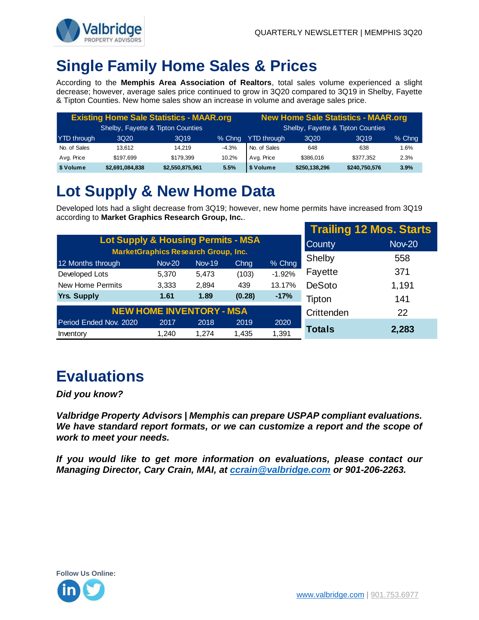

## **Single Family Home Sales & Prices**

According to the **Memphis Area Association of Realtors**, total sales volume experienced a slight decrease; however, average sales price continued to grow in 3Q20 compared to 3Q19 in Shelby, Fayette & Tipton Counties. New home sales show an increase in volume and average sales price.

| <b>Existing Home Sale Statistics - MAAR.org</b> |                  |                 |         | <b>New Home Sale Statistics - MAAR.org</b> |                                   |                  |        |
|-------------------------------------------------|------------------|-----------------|---------|--------------------------------------------|-----------------------------------|------------------|--------|
| Shelby, Fayette & Tipton Counties               |                  |                 |         |                                            | Shelby, Fayette & Tipton Counties |                  |        |
| <b>YTD</b> through                              | 3Q <sub>20</sub> | 3Q19            | % Chng  | <b>YTD</b> through                         | 3Q <sub>20</sub>                  | 3Q <sub>19</sub> | % Chng |
| No. of Sales                                    | 13.612           | 14.219          | $-4.3%$ | No. of Sales                               | 648                               | 638              | 1.6%   |
| Avg. Price                                      | \$197.699        | \$179.399       | 10.2%   | Avg. Price                                 | \$386.016                         | \$377.352        | 2.3%   |
| \$ Volume                                       | \$2,691,084,838  | \$2,550,875,961 | 5.5%    | \$ Volume                                  | \$250,138,296                     | \$240,750,576    | 3.9%   |

# **Lot Supply & New Home Data**

Developed lots had a slight decrease from 3Q19; however, new home permits have increased from 3Q19 according to **Market Graphics Research Group, Inc.**.

|                                               |                                                             |               |               |          |               | <b>Trailing 12 Mos. Starts</b> |
|-----------------------------------------------|-------------------------------------------------------------|---------------|---------------|----------|---------------|--------------------------------|
| <b>Lot Supply &amp; Housing Permits - MSA</b> |                                                             | <b>County</b> | <b>Nov-20</b> |          |               |                                |
| 12 Months through                             | <b>MarketGraphics Research Group, Inc.</b><br><b>Nov-20</b> | <b>Nov-19</b> | Chng          | % Chng   | Shelby        | 558                            |
| Developed Lots                                | 5,370                                                       | 5,473         | (103)         | $-1.92%$ | Fayette       | 371                            |
| <b>New Home Permits</b>                       | 3,333                                                       | 2,894         | 439           | 13.17%   | <b>DeSoto</b> | 1,191                          |
| <b>Yrs. Supply</b>                            | 1.61                                                        | 1.89          | (0.28)        | $-17%$   | Tipton        | 141                            |
| <b>NEW HOME INVENTORY - MSA</b>               | Crittenden                                                  | 22            |               |          |               |                                |
| Period Ended Nov. 2020                        | 2017                                                        | 2018          | 2019          | 2020     |               |                                |
| Inventory                                     | 1.240                                                       | 1.274         | 1,435         | 1,391    | Totals        | 2,283                          |

## **Evaluations**

*Did you know?* 

*Valbridge Property Advisors | Memphis can prepare USPAP compliant evaluations. We have standard report formats, or we can customize a report and the scope of work to meet your needs.* 

*If you would like to get more information on evaluations, please contact our Managing Director, Cary Crain, MAI, at [ccrain@valbridge.com](mailto:ccrain@valbridge.com) or 901-206-2263.*